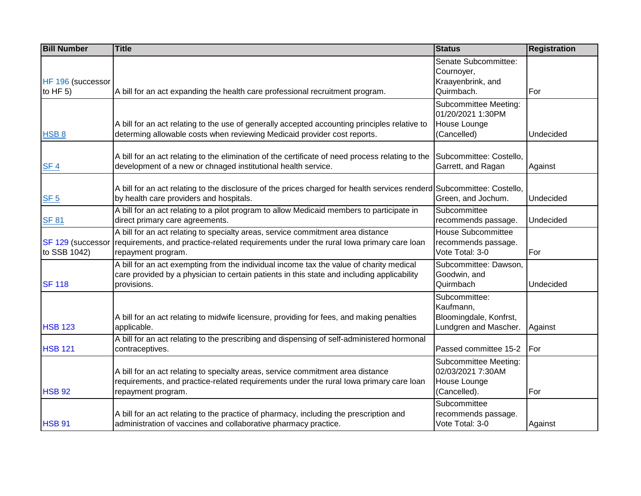| <b>Bill Number</b>                | <b>Title</b>                                                                                                                                                                                         | <b>Status</b>                                                                 | <b>Registration</b> |
|-----------------------------------|------------------------------------------------------------------------------------------------------------------------------------------------------------------------------------------------------|-------------------------------------------------------------------------------|---------------------|
| HF 196 (successor<br>to HF $5$ )  | A bill for an act expanding the health care professional recruitment program.                                                                                                                        | Senate Subcommittee:<br>Cournoyer,<br>Kraayenbrink, and<br>Quirmbach.         | For                 |
| HSB <sub>8</sub>                  | A bill for an act relating to the use of generally accepted accounting principles relative to<br>determing allowable costs when reviewing Medicaid provider cost reports.                            | Subcommittee Meeting:<br>01/20/2021 1:30PM<br>House Lounge<br>(Cancelled)     | Undecided           |
| SF <sub>4</sub>                   | A bill for an act relating to the elimination of the certificate of need process relating to the<br>development of a new or chnaged institutional health service.                                    | Subcommittee: Costello,<br>Garrett, and Ragan                                 | Against             |
| SF <sub>5</sub>                   | A bill for an act relating to the disclosure of the prices charged for health services renderd Subcommittee: Costello,<br>by health care providers and hospitals.                                    | Green, and Jochum.                                                            | Undecided           |
| <b>SF 81</b>                      | A bill for an act relating to a pilot program to allow Medicaid members to participate in<br>direct primary care agreements.                                                                         | Subcommittee<br>recommends passage.                                           | Undecided           |
| SF 129 (successor<br>to SSB 1042) | A bill for an act relating to specialty areas, service commitment area distance<br>requirements, and practice-related requirements under the rural lowa primary care loan<br>repayment program.      | <b>House Subcommittee</b><br>recommends passage.<br>Vote Total: 3-0           | For                 |
| <b>SF 118</b>                     | A bill for an act exempting from the individual income tax the value of charity medical<br>care provided by a physician to certain patients in this state and including applicability<br>provisions. | Subcommittee: Dawson,<br>Goodwin, and<br>Quirmbach                            | Undecided           |
| <b>HSB 123</b>                    | A bill for an act relating to midwife licensure, providing for fees, and making penalties<br>applicable.                                                                                             | Subcommittee:<br>Kaufmann,<br>Bloomingdale, Konfrst,<br>Lundgren and Mascher. | Against             |
| <b>HSB 121</b>                    | A bill for an act relating to the prescribing and dispensing of self-administered hormonal<br>contraceptives.                                                                                        | Passed committee 15-2                                                         | For                 |
| <b>HSB 92</b>                     | A bill for an act relating to specialty areas, service commitment area distance<br>requirements, and practice-related requirements under the rural lowa primary care loan<br>repayment program.      | Subcommittee Meeting:<br>02/03/2021 7:30AM<br>House Lounge<br>(Cancelled).    | For                 |
| <b>HSB 91</b>                     | A bill for an act relating to the practice of pharmacy, including the prescription and<br>administration of vaccines and collaborative pharmacy practice.                                            | Subcommittee<br>recommends passage.<br>Vote Total: 3-0                        | Against             |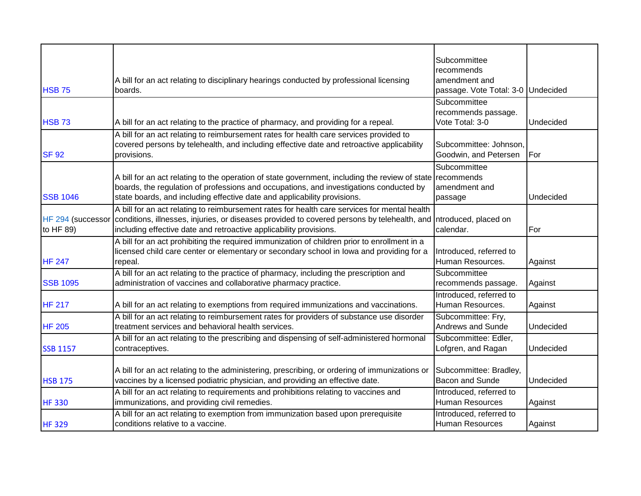|                 | A bill for an act relating to disciplinary hearings conducted by professional licensing                                                                                                                                                                                                                   | Subcommittee<br>recommends<br>amendment and            |           |
|-----------------|-----------------------------------------------------------------------------------------------------------------------------------------------------------------------------------------------------------------------------------------------------------------------------------------------------------|--------------------------------------------------------|-----------|
| <b>HSB 75</b>   | boards.                                                                                                                                                                                                                                                                                                   | passage. Vote Total: 3-0 Undecided                     |           |
| <b>HSB 73</b>   | A bill for an act relating to the practice of pharmacy, and providing for a repeal.                                                                                                                                                                                                                       | Subcommittee<br>recommends passage.<br>Vote Total: 3-0 | Undecided |
| <b>SF 92</b>    | A bill for an act relating to reimbursement rates for health care services provided to<br>covered persons by telehealth, and including effective date and retroactive applicability<br>provisions.                                                                                                        | Subcommittee: Johnson,<br>Goodwin, and Petersen        | For       |
| <b>SSB 1046</b> | A bill for an act relating to the operation of state government, including the review of state recommends<br>boards, the regulation of professions and occupations, and investigations conducted by<br>state boards, and including effective date and applicability provisions.                           | Subcommittee<br>amendment and<br>passage               | Undecided |
| to HF 89)       | A bill for an act relating to reimbursement rates for health care services for mental health<br>HF 294 (successor conditions, illnesses, injuries, or diseases provided to covered persons by telehealth, and Introduced, placed on<br>including effective date and retroactive applicability provisions. | calendar.                                              | For       |
| <b>HF 247</b>   | A bill for an act prohibiting the required immunization of children prior to enrollment in a<br>licensed child care center or elementary or secondary school in lowa and providing for a<br>repeal.                                                                                                       | Introduced, referred to<br>Human Resources.            | Against   |
| <b>SSB 1095</b> | A bill for an act relating to the practice of pharmacy, including the prescription and<br>administration of vaccines and collaborative pharmacy practice.                                                                                                                                                 | Subcommittee<br>recommends passage.                    | Against   |
| <b>HF 217</b>   | A bill for an act relating to exemptions from required immunizations and vaccinations.                                                                                                                                                                                                                    | Introduced, referred to<br>Human Resources.            | Against   |
| <b>HF 205</b>   | A bill for an act relating to reimbursement rates for providers of substance use disorder<br>treatment services and behavioral health services.                                                                                                                                                           | Subcommittee: Fry,<br>Andrews and Sunde                | Undecided |
| <b>SSB 1157</b> | A bill for an act relating to the prescribing and dispensing of self-administered hormonal<br>contraceptives.                                                                                                                                                                                             | Subcommittee: Edler,<br>Lofgren, and Ragan             | Undecided |
| <b>HSB 175</b>  | A bill for an act relating to the administering, prescribing, or ordering of immunizations or<br>vaccines by a licensed podiatric physician, and providing an effective date.                                                                                                                             | Subcommittee: Bradley,<br><b>Bacon and Sunde</b>       | Undecided |
| <b>HF330</b>    | A bill for an act relating to requirements and prohibitions relating to vaccines and<br>immunizations, and providing civil remedies.                                                                                                                                                                      | Introduced, referred to<br><b>Human Resources</b>      | Against   |
| <b>HF329</b>    | A bill for an act relating to exemption from immunization based upon prerequisite<br>conditions relative to a vaccine.                                                                                                                                                                                    | Introduced, referred to<br><b>Human Resources</b>      | Against   |